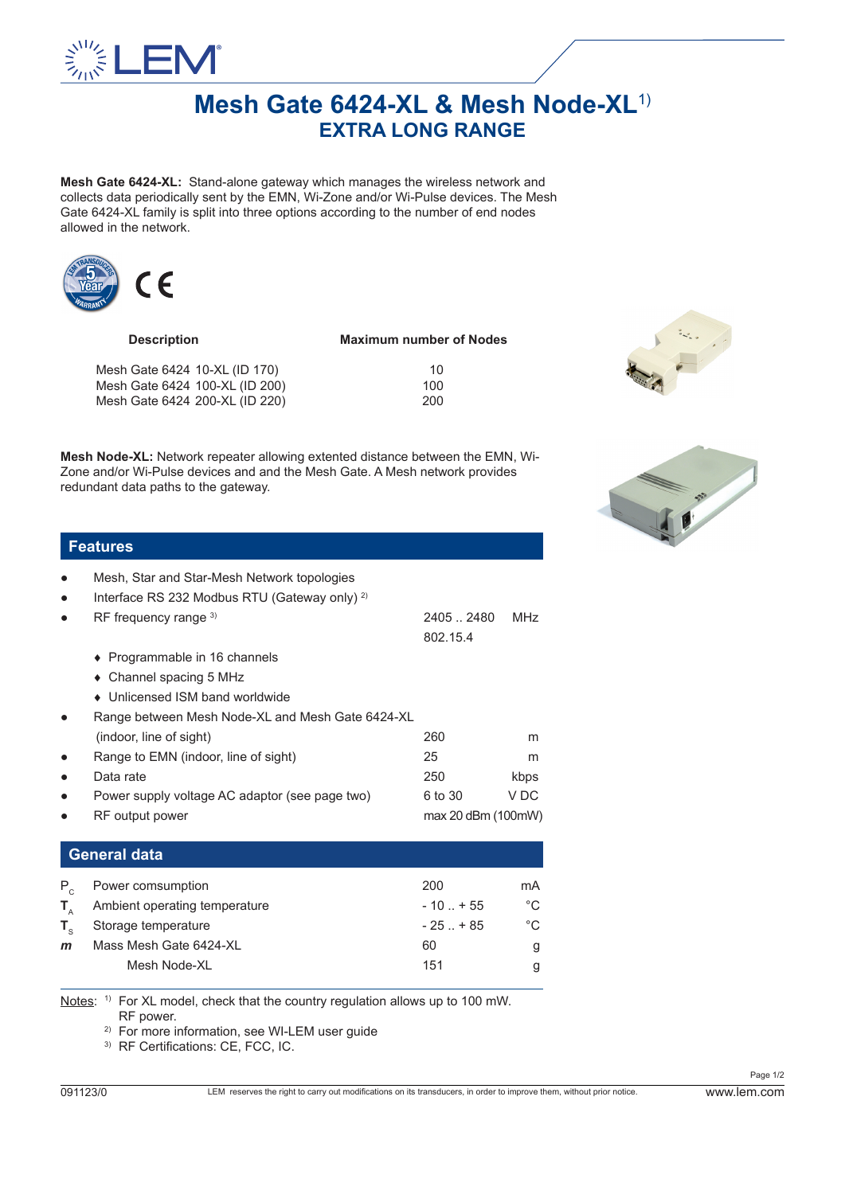

## **Mesh Gate 6424-XL & Mesh Node-XL**1) **EXTRA LONG RANGE**

**Mesh Gate 6424-XL:** Stand-alone gateway which manages the wireless network and collects data periodically sent by the EMN, Wi-Zone and/or Wi-Pulse devices. The Mesh Gate 6424-XL family is split into three options according to the number of end nodes allowed in the network.



| <b>Description</b>             | <b>Maximum number of Nodes</b> |  |
|--------------------------------|--------------------------------|--|
| Mesh Gate 6424 10-XL (ID 170)  | 10                             |  |
| Mesh Gate 6424 100-XL (ID 200) | 100                            |  |
| Mesh Gate 6424 200-XL (ID 220) | 200                            |  |



**Mesh Node-XL:** Network repeater allowing extented distance between the EMN, Wi-Zone and/or Wi-Pulse devices and and the Mesh Gate. A Mesh network provides redundant data paths to the gateway.

| Ľ |
|---|
|   |

|             | Mesh, Star and Star-Mesh Network topologies        |                    |            |
|-------------|----------------------------------------------------|--------------------|------------|
|             | Interface RS 232 Modbus RTU (Gateway only) $^{2)}$ |                    |            |
|             | RF frequency range $3)$                            | 2405.2480          | <b>MHz</b> |
|             |                                                    | 802.15.4           |            |
|             | Programmable in 16 channels                        |                    |            |
|             | Channel spacing 5 MHz                              |                    |            |
|             | • Unlicensed ISM band worldwide                    |                    |            |
|             | Range between Mesh Node-XL and Mesh Gate 6424-XL   |                    |            |
|             | (indoor, line of sight)                            | 260                | m          |
|             | Range to EMN (indoor, line of sight)               | 25                 | m          |
|             | Data rate                                          | 250                | kbps       |
|             | Power supply voltage AC adaptor (see page two)     | 6 to 30            | V DC       |
|             | RF output power                                    | max 20 dBm (100mW) |            |
|             |                                                    |                    |            |
|             | <b>General data</b>                                |                    |            |
| $P_{c}$     | Power comsumption                                  | 200                | mA         |
| $T_{\rm A}$ | Ambient operating temperature                      | $-10$ $+55$        | °C         |
| $T_{\rm s}$ | Storage temperature                                | $-25$ $+85$        | °C         |
| m           | Mass Mesh Gate 6424-XL                             | 60                 | g          |
|             | Mesh Node-XL                                       | 151                | g          |

Notes: <sup>1)</sup> For XL model, check that the country regulation allows up to 100 mW.

RF power.

2) For more information, see WI-LEM user guide

3) RF Certifications: CE, FCC, IC.

Page 1/2